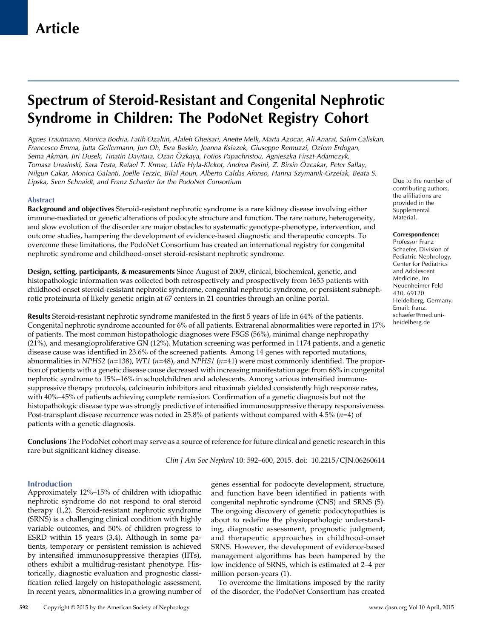# Spectrum of Steroid-Resistant and Congenital Nephrotic Syndrome in Children: The PodoNet Registry Cohort

Agnes Trautmann, Monica Bodria, Fatih Ozaltin, Alaleh Gheisari, Anette Melk, Marta Azocar, Ali Anarat, Salim Caliskan, Francesco Emma, Jutta Gellermann, Jun Oh, Esra Baskin, Joanna Ksiazek, Giuseppe Remuzzi, Ozlem Erdogan, Sema Akman, Jiri Dusek, Tinatin Davitaia, Ozan Ozkaya, Fotios Papachristou, Agnieszka Firszt-Adamczyk, € Tomasz Urasinski, Sara Testa, Rafael T. Krmar, Lidia Hyla-Klekot, Andrea Pasini, Z. Birsin Ozcakar, Peter Sallay, € Nilgun Cakar, Monica Galanti, Joelle Terzic, Bilal Aoun, Alberto Caldas Afonso, Hanna Szymanik-Grzelak, Beata S. Lipska, Sven Schnaidt, and Franz Schaefer for the PodoNet Consortium

## Abstract

Background and objectives Steroid-resistant nephrotic syndrome is a rare kidney disease involving either immune-mediated or genetic alterations of podocyte structure and function. The rare nature, heterogeneity, and slow evolution of the disorder are major obstacles to systematic genotype-phenotype, intervention, and outcome studies, hampering the development of evidence-based diagnostic and therapeutic concepts. To overcome these limitations, the PodoNet Consortium has created an international registry for congenital nephrotic syndrome and childhood-onset steroid-resistant nephrotic syndrome.

Design, setting, participants, & measurements Since August of 2009, clinical, biochemical, genetic, and histopathologic information was collected both retrospectively and prospectively from 1655 patients with childhood-onset steroid-resistant nephrotic syndrome, congenital nephrotic syndrome, or persistent subnephrotic proteinuria of likely genetic origin at 67 centers in 21 countries through an online portal.

Results Steroid-resistant nephrotic syndrome manifested in the first 5 years of life in 64% of the patients. Congenital nephrotic syndrome accounted for 6% of all patients. Extrarenal abnormalities were reported in 17% of patients. The most common histopathologic diagnoses were FSGS (56%), minimal change nephropathy (21%), and mesangioproliferative GN (12%). Mutation screening was performed in 1174 patients, and a genetic disease cause was identified in 23.6% of the screened patients. Among 14 genes with reported mutations, abnormalities in NPHS2 ( $n=138$ ), WT1 ( $n=48$ ), and NPHS1 ( $n=41$ ) were most commonly identified. The proportion of patients with a genetic disease cause decreased with increasing manifestation age: from 66% in congenital nephrotic syndrome to 15%–16% in schoolchildren and adolescents. Among various intensified immunosuppressive therapy protocols, calcineurin inhibitors and rituximab yielded consistently high response rates, with 40%–45% of patients achieving complete remission. Confirmation of a genetic diagnosis but not the histopathologic disease type was strongly predictive of intensified immunosuppressive therapy responsiveness. Post-transplant disease recurrence was noted in 25.8% of patients without compared with 4.5% ( $n=4$ ) of patients with a genetic diagnosis.

Conclusions The PodoNet cohort may serve as a source of reference for future clinical and genetic research in this rare but significant kidney disease.

Clin J Am Soc Nephrol 10: 592–600, 2015. doi: 10.2215/CJN.06260614

# **Introduction**

Approximately 12%–15% of children with idiopathic nephrotic syndrome do not respond to oral steroid therapy (1,2). Steroid-resistant nephrotic syndrome (SRNS) is a challenging clinical condition with highly variable outcomes, and 50% of children progress to ESRD within 15 years (3,4). Although in some patients, temporary or persistent remission is achieved by intensified immunosuppressive therapies (IITs), others exhibit a multidrug-resistant phenotype. Historically, diagnostic evaluation and prognostic classification relied largely on histopathologic assessment. In recent years, abnormalities in a growing number of

genes essential for podocyte development, structure, and function have been identified in patients with congenital nephrotic syndrome (CNS) and SRNS (5). The ongoing discovery of genetic podocytopathies is about to redefine the physiopathologic understanding, diagnostic assessment, prognostic judgment, and therapeutic approaches in childhood-onset SRNS. However, the development of evidence-based management algorithms has been hampered by the low incidence of SRNS, which is estimated at 2–4 per million person-years (1).

To overcome the limitations imposed by the rarity of the disorder, the PodoNet Consortium has created Due to the number of contributing authors, the affiliations are provided in the [Supplemental](http://cjasn.asnjournals.org/lookup/suppl/doi:10.2215/CJN.06260614/-/DCSupplemental) [Material.](http://cjasn.asnjournals.org/lookup/suppl/doi:10.2215/CJN.06260614/-/DCSupplemental)

#### Correspondence:

Professor Franz Schaefer, Division of Pediatric Nephrology, Center for Pediatrics and Adolescent Medicine, Im Neuenheimer Feld 430, 69120 Heidelberg, Germany. Email: [franz.](mailto:franz.schaefer@med.uni-heidelberg.de) [schaefer@med.uni](mailto:franz.schaefer@med.uni-heidelberg.de)[heidelberg.de](mailto:franz.schaefer@med.uni-heidelberg.de)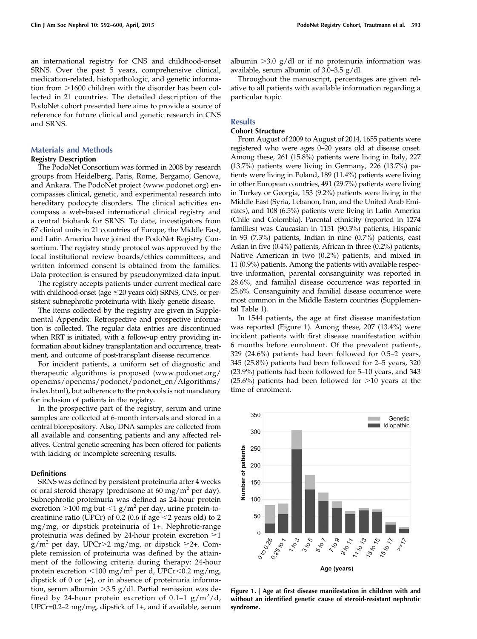an international registry for CNS and childhood-onset SRNS. Over the past 5 years, comprehensive clinical, medication-related, histopathologic, and genetic information from >1600 children with the disorder has been collected in 21 countries. The detailed description of the PodoNet cohort presented here aims to provide a source of reference for future clinical and genetic research in CNS and SRNS.

# Materials and Methods

# Registry Description

The PodoNet Consortium was formed in 2008 by research groups from Heidelberg, Paris, Rome, Bergamo, Genova, and Ankara. The PodoNet project ([www.podonet.org](http://www.podonet.org)) encompasses clinical, genetic, and experimental research into hereditary podocyte disorders. The clinical activities encompass a web-based international clinical registry and a central biobank for SRNS. To date, investigators from 67 clinical units in 21 countries of Europe, the Middle East, and Latin America have joined the PodoNet Registry Consortium. The registry study protocol was approved by the local institutional review boards/ethics committees, and written informed consent is obtained from the families. Data protection is ensured by pseudonymized data input.

The registry accepts patients under current medical care with childhood-onset (age  $\leq$  20 years old) SRNS, CNS, or persistent subnephrotic proteinuria with likely genetic disease.

The items collected by the registry are given in [Supple](http://cjasn.asnjournals.org/lookup/suppl/doi:10.2215/CJN.06260614/-/DCSupplemental)[mental Appendix](http://cjasn.asnjournals.org/lookup/suppl/doi:10.2215/CJN.06260614/-/DCSupplemental). Retrospective and prospective information is collected. The regular data entries are discontinued when RRT is initiated, with a follow-up entry providing information about kidney transplantation and occurrence, treatment, and outcome of post-transplant disease recurrence.

For incident patients, a uniform set of diagnostic and therapeutic algorithms is proposed ([www.podonet.org/](http://www.podonet.org/opencms/opencms/podonet/podonet_en/Algorithms/index.html) [opencms/opencms/podonet/podonet\\_en/Algorithms/](http://www.podonet.org/opencms/opencms/podonet/podonet_en/Algorithms/index.html) [index.html\)](http://www.podonet.org/opencms/opencms/podonet/podonet_en/Algorithms/index.html), but adherence to the protocols is not mandatory for inclusion of patients in the registry.

In the prospective part of the registry, serum and urine samples are collected at 6-month intervals and stored in a central biorepository. Also, DNA samples are collected from all available and consenting patients and any affected relatives. Central genetic screening has been offered for patients with lacking or incomplete screening results.

## **Definitions**

SRNS was defined by persistent proteinuria after 4 weeks of oral steroid therapy (prednisone at 60 mg/m<sup>2</sup> per day). Subnephrotic proteinuria was defined as 24-hour protein excretion  $>100$  mg but  $<1$  g/m<sup>2</sup> per day, urine protein-tocreatinine ratio (UPCr) of 0.2 (0.6 if age  $\leq$  years old) to 2 mg/mg, or dipstick proteinuria of 1+. Nephrotic-range proteinuria was defined by 24-hour protein excretion  $\geq 1$  $g/m^2$  per day, UPCr>2 mg/mg, or dipstick ≥2+. Complete remission of proteinuria was defined by the attainment of the following criteria during therapy: 24-hour protein excretion  $\langle 100 \text{ mg/m}^2 \rangle$  per d, UPCr $\langle 0.2 \text{ mg/mg} \rangle$ , dipstick of 0 or (+), or in absence of proteinuria information, serum albumin  $>3.5$  g/dl. Partial remission was defined by 24-hour protein excretion of  $0.1-1$   $g/m^2/d$ , UPCr=0.2–2 mg/mg, dipstick of 1+, and if available, serum

albumin  $>3.0$  g/dl or if no proteinuria information was available, serum albumin of 3.0–3.5 g/dl.

Throughout the manuscript, percentages are given relative to all patients with available information regarding a particular topic.

# **Results**

## Cohort Structure

From August of 2009 to August of 2014, 1655 patients were registered who were ages 0–20 years old at disease onset. Among these, 261 (15.8%) patients were living in Italy, 227 (13.7%) patients were living in Germany, 226 (13.7%) patients were living in Poland, 189 (11.4%) patients were living in other European countries, 491 (29.7%) patients were living in Turkey or Georgia, 153 (9.2%) patients were living in the Middle East (Syria, Lebanon, Iran, and the United Arab Emirates), and 108 (6.5%) patients were living in Latin America (Chile and Colombia). Parental ethnicity (reported in 1274 families) was Caucasian in 1151 (90.3%) patients, Hispanic in 93 (7.3%) patients, Indian in nine (0.7%) patients, east Asian in five (0.4%) patients, African in three (0.2%) patients, Native American in two (0.2%) patients, and mixed in 11 (0.9%) patients. Among the patients with available respective information, parental consanguinity was reported in 28.6%, and familial disease occurrence was reported in 25.6%. Consanguinity and familial disease occurrence were most common in the Middle Eastern countries ([Supplemen](http://cjasn.asnjournals.org/lookup/suppl/doi:10.2215/CJN.06260614/-/DCSupplemental)[tal Table 1\)](http://cjasn.asnjournals.org/lookup/suppl/doi:10.2215/CJN.06260614/-/DCSupplemental).

In 1544 patients, the age at first disease manifestation was reported (Figure 1). Among these, 207 (13.4%) were incident patients with first disease manifestation within 6 months before enrolment. Of the prevalent patients, 329 (24.6%) patients had been followed for 0.5–2 years, 345 (25.8%) patients had been followed for 2–5 years, 320 (23.9%) patients had been followed for 5–10 years, and 343 (25.6%) patients had been followed for  $>10$  years at the time of enrolment.



Figure 1. | Age at first disease manifestation in children with and without an identified genetic cause of steroid-resistant nephrotic syndrome.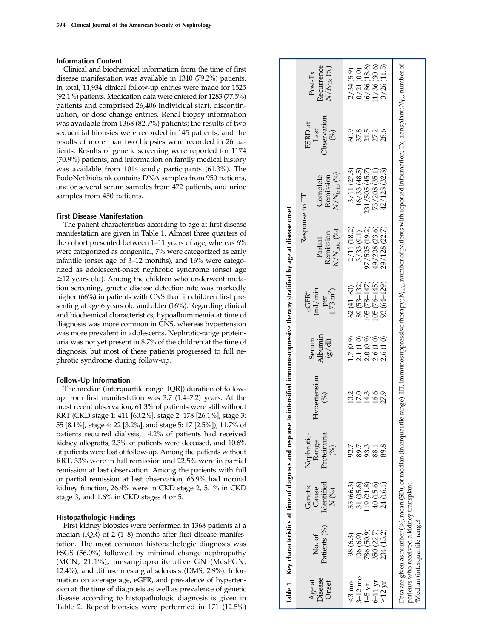#### Information Content

Clinical and biochemical information from the time of first disease manifestation was available in 1310 (79.2%) patients. In total, 11,934 clinical follow-up entries were made for 1525 (92.1%) patients. Medication data were entered for 1283 (77.5%) patients and comprised 26,406 individual start, discontinuation, or dose change entries. Renal biopsy information was available from 1368 (82.7%) patients; the results of two sequential biopsies were recorded in 145 patients, and the results of more than two biopsies were recorded in 26 patients. Results of genetic screening were reported for 1174 (70.9%) patients, and information on family medical history was available from 1014 study participants (61.3%). The PodoNet biobank contains DNA samples from 950 patients, one or several serum samples from 472 patients, and urine samples from 450 patients.

#### First Disease Manifestation

The patient characteristics according to age at first disease manifestation are given in Table 1. Almost three quarters of the cohort presented between 1 –11 years of age, whereas 6% were categorized as congenital, 7% were categorized as early infantile (onset age of 3 –12 months), and 16% were categorized as adolescent-onset nephrotic syndrome (onset age  $\geq$ 12 years old). Among the children who underwent mutation screening, genetic disease detection rate was markedly higher (66%) in patients with CNS than in children first presenting at age 6 years old and older (16%). Regarding clinical and biochemical characteristics, hypoalbuminemia at time of diagnosis was more common in CNS, whereas hypertension was more prevalent in adolescents. Nephrotic-range proteinuria was not yet present in 8.7% of the children at the time of diagnosis, but most of these patients progressed to full nephrotic syndrome during follow-up.

#### Follow-Up Information

The median (interquartile range [IQR]) duration of followup from first manifestation was 3.7 (1.4–7.2) years. At the most recent observation, 61.3% of patients were still without RRT (CKD stage 1: 411 [60.2%], stage 2: 178 [26.1%], stage 3: 55 [8.1%], stage 4: 22 [3.2%], and stage 5: 17 [2.5%]), 11.7% of patients required dialysis, 14.2% of patients had received kidney allografts, 2.3% of patients were deceased, and 10.6% of patients were lost of follow-up. Among the patients without RRT, 33% were in full remission and 22.5% were in partial remission at last observation. Among the patients with full or partial remission at last observation, 66.9% had normal kidney function, 26.4% were in CKD stage 2, 5.1% in CKD stage 3, and 1.6% in CKD stages 4 or 5.

## Histopathologic Findings

First kidney biopsies were performed in 1368 patients at a median (IQR) of  $2(1-8)$  months after first disease manifestation. The most common histopathologic diagnosis was FSGS (56.0%) followed by minimal change nephropathy (MCN; 21.1%), mesangioproliferative GN (MesPGN; 12.4%), and diffuse mesangial sclerosis (DMS; 2.9%). Information on average age, eGFR, and prevalence of hypertension at the time of diagnosis as well as prevalence of genetic disease according to histopathologic diagnosis is given in Table 2. Repeat biopsies were performed in 171 (12.5%)

|                                                  | Table 1. Key characteristics at time of diagnosis and response to intensified immunosuppressive therapy stratified by age at disease onset |                                                                                          |                                        |                                 |                            |                                          |                                              |                                                                                                                                                                                                                            |                                              |                                                 |
|--------------------------------------------------|--------------------------------------------------------------------------------------------------------------------------------------------|------------------------------------------------------------------------------------------|----------------------------------------|---------------------------------|----------------------------|------------------------------------------|----------------------------------------------|----------------------------------------------------------------------------------------------------------------------------------------------------------------------------------------------------------------------------|----------------------------------------------|-------------------------------------------------|
|                                                  |                                                                                                                                            | Genetic                                                                                  | Nephrotic-                             |                                 |                            | eGFR <sup>a</sup>                        |                                              | Response to III                                                                                                                                                                                                            | ESRD at                                      |                                                 |
| Age at<br>Disease<br>Onset                       | Patients (%)<br>No. of                                                                                                                     | Identified<br>Cause<br>N(%)                                                              | Proteinuria<br>Range<br>$\binom{6}{0}$ | Hypertension<br>$\binom{96}{0}$ | Albumin<br>Serum<br>(g/dl) | (ml/min)<br>$\rm \frac{per}{1.73\ m^2})$ | $N/N_{\rm info}$ (%)<br>Remission<br>Partial | $N/N_{\rm info}$ (%)<br>Remission<br>Complete                                                                                                                                                                              | <b>Jbservation</b><br>Last<br>$\binom{6}{6}$ | Recurrence<br>$N/N_{\rm Tx}(^{9/6})$<br>Post-Tx |
| $52 \text{ mo}$                                  | 98 (6.3)                                                                                                                                   | 55 (66.3)                                                                                | 92.7                                   | 10.2                            | 1.7(0.9)                   | $62(41 - 80)$                            | 2/11(18.2)                                   | 3/11(27.3)                                                                                                                                                                                                                 | 60.9                                         | 2/34(5.9)                                       |
| $3-12 \text{ mo}$<br>1-5 yr<br>6-11 yr<br>212 yr |                                                                                                                                            |                                                                                          | 893388<br>89388                        |                                 |                            | 89 (53–132)                              | 3/33(9.1)                                    | 16/33(48.5)                                                                                                                                                                                                                | $37.38$<br>$37.78$<br>$38.48$                | 0/21(0.0)                                       |
|                                                  |                                                                                                                                            |                                                                                          |                                        | 17.3<br>14.3<br>16.6            | $2.1(1.0)$<br>$2.0(0.9)$   | $105(78 - 147)$                          | 97/505 (19.2)                                | 231/505 (45.7)                                                                                                                                                                                                             |                                              | 16/86(18.6)                                     |
|                                                  |                                                                                                                                            |                                                                                          |                                        |                                 | 2.6(1.0)                   | 105 (76-145)                             |                                              |                                                                                                                                                                                                                            |                                              | 11/36(30.6)                                     |
|                                                  | 106 (6.9)<br>786 (50.9)<br>350 (22.7)<br>204 (13.2)                                                                                        | $\begin{array}{c} 31 \ (35.6) \\ 119 \ (21.8) \\ 40 \ (15.6) \\ 24 \ (16.1) \end{array}$ |                                        | 27.9                            | 2.6(1.0)                   | 93 (64-129)                              | 49/208 (23.6)<br>29/128 (22.7)               | 73/208 (35.1)<br>42/128 (32.8)                                                                                                                                                                                             |                                              | 3/26(11.5)                                      |
|                                                  | patients who received a kidney transplant<br>Median (interquartile range)                                                                  |                                                                                          |                                        |                                 |                            |                                          |                                              | $\lambda$ ata are given as number (%), mean (SD), or median (interquartile range). IIT, immunosuppressive therapy; $N_{\rm into}$ , number of patients with reported information; Tx, transplant; $N_{\rm Tx}$ , number of |                                              |                                                 |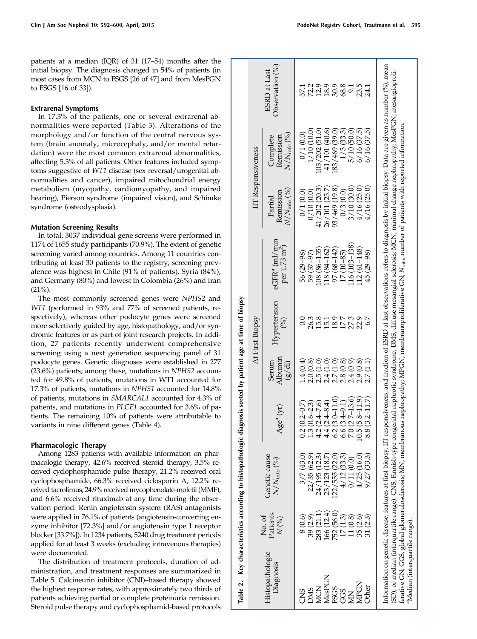## Extrarenal Symptoms

In 17.3% of the patients, one or several extrarenal abnormalities were reported (Table 3). Alterations of the morphology and/or function of the central nervous system (brain anomaly, microcephaly, and/or mental retardation) were the most common extrarenal abnormalities, affecting 5.3% of all patients. Other features included symptoms suggestive of WT1 disease (sex reversal/urogenital abnormalities and cancer), impaired mitochondrial energy metabolism (myopathy, cardiomyopathy, and impaired hearing), Pierson syndrome (impaired vision), and Schimke syndrome (osteodysplasia).

## Mutation Screening Results

In total, 3037 individual gene screens were performed in 1174 of 1655 study participants (70.9%). The extent of genetic screening varied among countries. Among 11 countries contributing at least 30 patients to the registry, screening prevalence was highest in Chile (91% of patients), Syria (84%), and Germany (80%) and lowest in Colombia (26%) and Iran  $(21\%)$ .

The most commonly screened genes were NPHS2 and WT1 (performed in 93% and 77% of screened patients, respectively), whereas other podocyte genes were screened more selectively guided by age, histopathology, and/or syndromic features or as part of joint research projects. In addition, 27 patients recently underwent comprehensive screening using a next generation sequencing panel of 31 podocyte genes. Genetic diagnoses were established in 277 (23.6%) patients; among these, mutations in NPHS2 accounted for 49.8% of patients, mutations in WT1 accounted for 17.3% of patients, mutations in NPHS1 accounted for 14.8% of patients, mutations in SMARCAL1 accounted for 4.3% of patients, and mutations in PLCE1 accounted for 3.6% of patients. The remaining 10% of patients were attributable to variants in nine different genes (Table 4).

# Pharmacologic Therapy

Among 1283 patients with available information on pharmacologic therapy, 42.6% received steroid therapy, 3.5% received cyclophosphamide pulse therapy, 21.2% received oral cyclophosphamide, 66.3% received ciclosporin A, 12.2% received tacrolimus, 24.9% received mycophenolate-mofetil (MMF), and 6.6% received rituximab at any time during the observation period. Renin angiotensin system (RAS) antagonists were applied in 76.1% of patients (angiotensin-converting enzyme inhibitor [72.3%] and/or angiotensin type 1 receptor blocker [33.7%]). In 1234 patients, 5240 drug treatment periods applied for at least 3 weeks (excluding intravenous therapies) were documented.

The distribution of treatment protocols, duration of administration, and treatment responses are summarized in Table 5. Calcineurin inhibitor (CNI)–based therapy showed the highest response rates, with approximately two thirds of patients achieving partial or complete proteinuria remission. Steroid pulse therapy and cyclophosphamid-based protocols

|                                           |                            | Table 2. Key characteristics according to histopathologic diagnosis sorted by patient age at time of biopsy |                                 |                                        |                                |                                                                                                                                                                                                                                                                                                                                                                                                                                                                                                              |                                              |                                               |                                                 |
|-------------------------------------------|----------------------------|-------------------------------------------------------------------------------------------------------------|---------------------------------|----------------------------------------|--------------------------------|--------------------------------------------------------------------------------------------------------------------------------------------------------------------------------------------------------------------------------------------------------------------------------------------------------------------------------------------------------------------------------------------------------------------------------------------------------------------------------------------------------------|----------------------------------------------|-----------------------------------------------|-------------------------------------------------|
|                                           |                            |                                                                                                             |                                 |                                        | At First Biopsy                |                                                                                                                                                                                                                                                                                                                                                                                                                                                                                                              |                                              | IIT Responsiveness                            |                                                 |
| Histopathologic<br>Diagnosis              | Patients<br>No. of<br>N(%) | Genetic cause<br>$N/N_{\rm info}$ (%)                                                                       | $ge^{a}(yr)$                    | Albumin<br>Serum<br>(g/d)              | Hypertension<br>$\binom{6}{0}$ | $e$ GFR $a$ (ml/min<br>per 1.73 m <sup>2</sup> )                                                                                                                                                                                                                                                                                                                                                                                                                                                             | $N/N_{\rm info}$ (%)<br>Remission<br>Partial | $N/N_{\rm info}$ (%)<br>Complete<br>Remission | Observation $(^{9}_{0})$<br><b>ESRD</b> at Last |
| CNS                                       | $8\,0.6$                   | 3/7(43.0)                                                                                                   | $(0.2 - 0.7)$                   | 1.4(0.4)                               |                                | 56 (29–98)                                                                                                                                                                                                                                                                                                                                                                                                                                                                                                   | 0/1(0.0)                                     | 0/1(0.0)                                      |                                                 |
| <b>SINC</b>                               | 39 (2.9)                   | 22/35 (62.9)                                                                                                | $(0.6 - 2.3)$<br>$\ddot{\cdot}$ |                                        | 26.3                           | 59 (37-97)                                                                                                                                                                                                                                                                                                                                                                                                                                                                                                   | 0/10(0.0)                                    | 1/10 (10.0)                                   |                                                 |
| MCN                                       | 283 (21.1                  | 24/195 (12.3)                                                                                               | $(2.4 - 7.6)$<br>4.2            | $2.0(0.8)$<br>$2.5(1.0)$<br>$2.4(1.0)$ | $15.8$<br>$15.1$               | $108(86 - 155)$                                                                                                                                                                                                                                                                                                                                                                                                                                                                                              | 41/202(20.3)                                 | 103/202 (51.0)                                | 20098315<br>2009892                             |
| MesPGN                                    | (12.4)<br>166(             | 23/123 (18.7                                                                                                | $(2.4 - 8.4)$                   |                                        |                                | 118 (84-162)                                                                                                                                                                                                                                                                                                                                                                                                                                                                                                 | 26/101 (25.7)                                | 41/101 (40.6)                                 |                                                 |
| <b>FSGS</b>                               | 752 (56.0)<br>17 (1.3)     | .22/555(22.0)                                                                                               | $(3.0 - 11.0)$<br>6.2           | 2.7(1.0)                               | 18.9                           | 97 (68-142)                                                                                                                                                                                                                                                                                                                                                                                                                                                                                                  | 93/469 (19.8)                                | (39/469 (39.0)                                |                                                 |
| GGS                                       |                            | 4/12(33.3)                                                                                                  | $(3.4 - 9.1)$<br>9.9            |                                        |                                | 17 (10-85)                                                                                                                                                                                                                                                                                                                                                                                                                                                                                                   | 0/3(0.0)                                     | $1/3$ (33.3)                                  |                                                 |
| ğ                                         | 11 (0.8)<br>35 (2.6)       | 0/11(0.0)                                                                                                   | $(2.7 - 13.6)$                  | $2.8(0.8)$<br>$2.4(0.9)$               | $17.7$<br>$27.3$               | 116 (103-138)                                                                                                                                                                                                                                                                                                                                                                                                                                                                                                | 3/10 (30.0)                                  | 5/10 (50.0)                                   |                                                 |
| <b>MPGN</b>                               |                            | 4/25(16.0)                                                                                                  | $(5.8 - 11.9)$                  | 2.9(0.8)                               | 22.9                           | 112 (61-148)                                                                                                                                                                                                                                                                                                                                                                                                                                                                                                 | 4/16(25.0)                                   | $6/16$ (37.5)                                 |                                                 |
| <b>her</b>                                | 31 (2.3)                   | 9/27(33.3)                                                                                                  | $(3.2 - 11.7)$                  | 2.7(1.1)                               |                                | 45 (29-98)                                                                                                                                                                                                                                                                                                                                                                                                                                                                                                   | 4/16(25.0)                                   | 6/16(37.5)                                    |                                                 |
| <sup>a</sup> Median (interquartile range) |                            | ferative GN; GGS, global glomerulosclerosis; MN, membrano                                                   |                                 |                                        |                                | Information on genetic disease, features at first biopsy, IIT responsiveness, and fraction of ESRD at last observations refers to diagnosis by initial biopsy. Data are given as number (%), mean<br>(SD), or median (interquartile range). CNS, Finnish-type congenital nephrotic syndrome; DMS, diffuse mesangial sclerosis; MCN, minimal change nephropathy; MesPGN, mesangioproli-<br>ous nephropathy; MPGN, membranoproliferative GN; N <sub>inko</sub> , number of patients with reported information. |                                              |                                               |                                                 |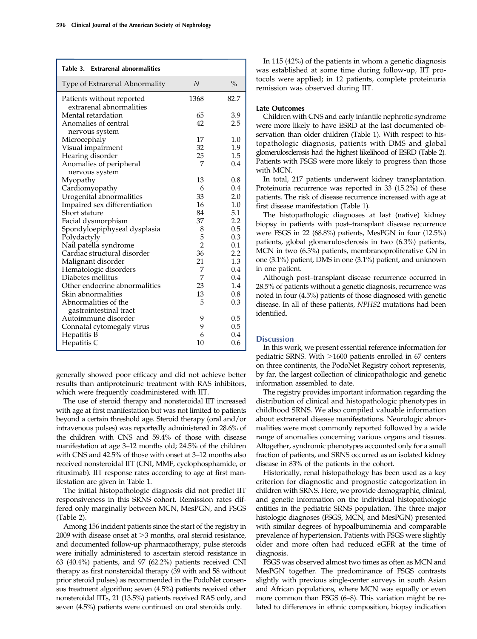| Table 3. Extrarenal abnormalities                     |                |               |
|-------------------------------------------------------|----------------|---------------|
| Type of Extrarenal Abnormality                        | N              | $\frac{0}{0}$ |
| Patients without reported<br>extrarenal abnormalities | 1368           | 82.7          |
| Mental retardation                                    | 65             | 3.9           |
| Anomalies of central                                  | 42             | 2.5           |
| nervous system                                        |                |               |
| Microcephaly                                          | 17             | 1.0           |
| Visual impairment                                     | 32             | 1.9           |
| Hearing disorder                                      | 25             | 1.5           |
| Anomalies of peripheral<br>nervous system             | 7              | 0.4           |
| Myopathy                                              | 13             | 0.8           |
| Cardiomyopathy                                        | 6              | 0.4           |
| Urogenital abnormalities                              | 33             | 2.0           |
| Impaired sex differentiation                          | 16             | 1.0           |
| Short stature                                         | 84             | 5.1           |
| Facial dysmorphism                                    | 37             | 2.2           |
| Spondyloepiphyseal dysplasia                          | 8              | 0.5           |
| Polydactyly                                           | 5              | 0.3           |
| Nail patella syndrome                                 | $\overline{2}$ | 0.1           |
| Cardiac structural disorder                           | 36             | 2.2           |
| Malignant disorder                                    | 21             | 1.3           |
| Hematologic disorders                                 | 7              | 0.4           |
| Diabetes mellitus                                     | 7              | 0.4           |
| Other endocrine abnormalities                         | 23             | 1.4           |
| Skin abnormalities                                    | 13             | 0.8           |
| Abnormalities of the<br>gastrointestinal tract        | 5              | 0.3           |
| Autoimmune disorder                                   | 9              | 0.5           |
| Connatal cytomegaly virus                             | 9              | 0.5           |
| Hepatitis B                                           | 6              | 0.4           |
| Hepatitis C                                           | 10             | 0.6           |

generally showed poor efficacy and did not achieve better results than antiproteinuric treatment with RAS inhibitors, which were frequently coadministered with IIT.

The use of steroid therapy and nonsteroidal IIT increased with age at first manifestation but was not limited to patients beyond a certain threshold age. Steroid therapy (oral and/or intravenous pulses) was reportedly administered in 28.6% of the children with CNS and 59.4% of those with disease manifestation at age 3–12 months old; 24.5% of the children with CNS and 42.5% of those with onset at 3–12 months also received nonsteroidal IIT (CNI, MMF, cyclophosphamide, or rituximab). IIT response rates according to age at first manifestation are given in Table 1.

The initial histopathologic diagnosis did not predict IIT responsiveness in this SRNS cohort. Remission rates differed only marginally between MCN, MesPGN, and FSGS (Table 2).

Among 156 incident patients since the start of the registry in 2009 with disease onset at  $>$ 3 months, oral steroid resistance, and documented follow-up pharmacotherapy, pulse steroids were initially administered to ascertain steroid resistance in 63 (40.4%) patients, and 97 (62.2%) patients received CNI therapy as first nonsteroidal therapy (39 with and 58 without prior steroid pulses) as recommended in the PodoNet consensus treatment algorithm; seven (4.5%) patients received other nonsteroidal IITs, 21 (13.5%) patients received RAS only, and seven (4.5%) patients were continued on oral steroids only.

In 115 (42%) of the patients in whom a genetic diagnosis was established at some time during follow-up, IIT protocols were applied; in 12 patients, complete proteinuria remission was observed during IIT.

#### Late Outcomes

Children with CNS and early infantile nephrotic syndrome were more likely to have ESRD at the last documented observation than older children (Table 1). With respect to histopathologic diagnosis, patients with DMS and global glomerulosclerosis had the highest likelihood of ESRD (Table 2). Patients with FSGS were more likely to progress than those with MCN.

In total, 217 patients underwent kidney transplantation. Proteinuria recurrence was reported in 33 (15.2%) of these patients. The risk of disease recurrence increased with age at first disease manifestation (Table 1).

The histopathologic diagnoses at last (native) kidney biopsy in patients with post–transplant disease recurrence were FSGS in 22 (68.8%) patients, MesPGN in four (12.5%) patients, global glomerulosclerosis in two (6.3%) patients, MCN in two (6.3%) patients, membranoproliferative GN in one (3.1%) patient, DMS in one (3.1%) patient, and unknown in one patient.

Although post–transplant disease recurrence occurred in 28.5% of patients without a genetic diagnosis, recurrence was noted in four (4.5%) patients of those diagnosed with genetic disease. In all of these patients, NPHS2 mutations had been identified.

# **Discussion**

In this work, we present essential reference information for pediatric SRNS. With  $>1600$  patients enrolled in 67 centers on three continents, the PodoNet Registry cohort represents, by far, the largest collection of clinicopathologic and genetic information assembled to date.

The registry provides important information regarding the distribution of clinical and histopathologic phenotypes in childhood SRNS. We also compiled valuable information about extrarenal disease manifestations. Neurologic abnormalities were most commonly reported followed by a wide range of anomalies concerning various organs and tissues. Altogether, syndromic phenotypes accounted only for a small fraction of patients, and SRNS occurred as an isolated kidney disease in 83% of the patients in the cohort.

Historically, renal histopathology has been used as a key criterion for diagnostic and prognostic categorization in children with SRNS. Here, we provide demographic, clinical, and genetic information on the individual histopathologic entities in the pediatric SRNS population. The three major histologic diagnoses (FSGS, MCN, and MesPGN) presented with similar degrees of hypoalbuminemia and comparable prevalence of hypertension. Patients with FSGS were slightly older and more often had reduced eGFR at the time of diagnosis.

FSGS was observed almost two times as often as MCN and MesPGN together. The predominance of FSGS contrasts slightly with previous single-center surveys in south Asian and African populations, where MCN was equally or even more common than FSGS (6–8). This variation might be related to differences in ethnic composition, biopsy indication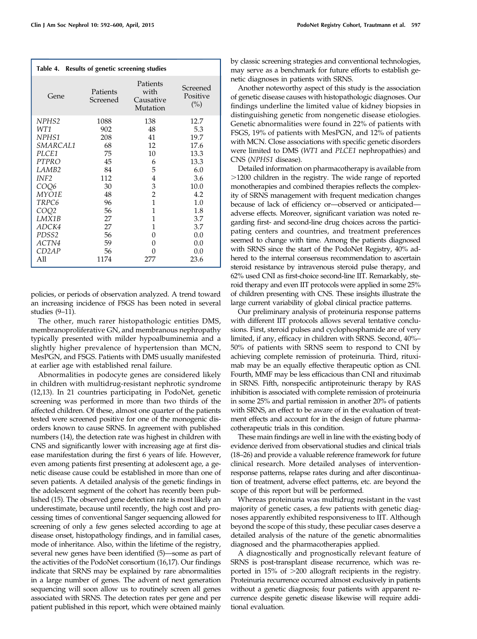| Table 4. Results of genetic screening studies |                      |                                           |                             |
|-----------------------------------------------|----------------------|-------------------------------------------|-----------------------------|
| Gene                                          | Patients<br>Screened | Patients<br>with<br>Causative<br>Mutation | Screened<br>Positive<br>(%) |
| NPH <sub>S2</sub>                             | 1088                 | 138                                       | 12.7                        |
| WT1                                           | 902                  | 48                                        | 5.3                         |
| NPHS1                                         | 208                  | 41                                        | 19.7                        |
| <i>SMARCAL1</i>                               | 68                   | 12                                        | 17.6                        |
| PLCE1                                         | 75                   | 10                                        | 13.3                        |
| <b>PTPRO</b>                                  | 45                   | 6                                         | 13.3                        |
| LAMB <sub>2</sub>                             | 84                   | 5                                         | 6.0                         |
| INF <sub>2</sub>                              | 112                  | 4                                         | 3.6                         |
| COQ6                                          | 30                   | 3                                         | 10.0                        |
| MYO1E                                         | 48                   | $\overline{c}$                            | 4.2                         |
| TRPC6                                         | 96                   | 1                                         | 1.0                         |
| COO2                                          | 56                   | 1                                         | 1.8                         |
| LMX1B                                         | 27                   | 1                                         | 3.7                         |
| <i>ADCK4</i>                                  | 27                   | 1                                         | 3.7                         |
| PDSS <sub>2</sub>                             | 56                   | 0                                         | 0.0                         |
| ACTN4                                         | 59                   | O                                         | 0.0                         |
| CD2AP                                         | 56                   | $\mathbf{\Omega}$                         | 0.0                         |
| All                                           | 1174                 | 277                                       | 23.6                        |

policies, or periods of observation analyzed. A trend toward an increasing incidence of FSGS has been noted in several studies (9–11).

The other, much rarer histopathologic entities DMS, membranoproliferative GN, and membranous nephropathy typically presented with milder hypoalbuminemia and a slightly higher prevalence of hypertension than MCN, MesPGN, and FSGS. Patients with DMS usually manifested at earlier age with established renal failure.

Abnormalities in podocyte genes are considered likely in children with multidrug-resistant nephrotic syndrome (12,13). In 21 countries participating in PodoNet, genetic screening was performed in more than two thirds of the affected children. Of these, almost one quarter of the patients tested were screened positive for one of the monogenic disorders known to cause SRNS. In agreement with published numbers (14), the detection rate was highest in children with CNS and significantly lower with increasing age at first disease manifestation during the first 6 years of life. However, even among patients first presenting at adolescent age, a genetic disease cause could be established in more than one of seven patients. A detailed analysis of the genetic findings in the adolescent segment of the cohort has recently been published (15). The observed gene detection rate is most likely an underestimate, because until recently, the high cost and processing times of conventional Sanger sequencing allowed for screening of only a few genes selected according to age at disease onset, histopathology findings, and in familial cases, mode of inheritance. Also, within the lifetime of the registry, several new genes have been identified (5)—some as part of the activities of the PodoNet consortium (16,17). Our findings indicate that SRNS may be explained by rare abnormalities in a large number of genes. The advent of next generation sequencing will soon allow us to routinely screen all genes associated with SRNS. The detection rates per gene and per patient published in this report, which were obtained mainly by classic screening strategies and conventional technologies, may serve as a benchmark for future efforts to establish genetic diagnoses in patients with SRNS.

Another noteworthy aspect of this study is the association of genetic disease causes with histopathologic diagnoses. Our findings underline the limited value of kidney biopsies in distinguishing genetic from nongenetic disease etiologies. Genetic abnormalities were found in 22% of patients with FSGS, 19% of patients with MesPGN, and 12% of patients with MCN. Close associations with specific genetic disorders were limited to DMS (WT1 and PLCE1 nephropathies) and CNS (NPHS1 disease).

Detailed information on pharmacotherapy is available from .1200 children in the registry. The wide range of reported monotherapies and combined therapies reflects the complexity of SRNS management with frequent medication changes because of lack of efficiency or—observed or anticipated adverse effects. Moreover, significant variation was noted regarding first- and second-line drug choices across the participating centers and countries, and treatment preferences seemed to change with time. Among the patients diagnosed with SRNS since the start of the PodoNet Registry, 40% adhered to the internal consensus recommendation to ascertain steroid resistance by intravenous steroid pulse therapy, and 62% used CNI as first-choice second-line IIT. Remarkably, steroid therapy and even IIT protocols were applied in some 25% of children presenting with CNS. These insights illustrate the large current variability of global clinical practice patterns.

Our preliminary analysis of proteinuria response patterns with different IIT protocols allows several tentative conclusions. First, steroid pulses and cyclophosphamide are of very limited, if any, efficacy in children with SRNS. Second, 40%– 50% of patients with SRNS seem to respond to CNI by achieving complete remission of proteinuria. Third, rituximab may be an equally effective therapeutic option as CNI. Fourth, MMF may be less efficacious than CNI and rituximab in SRNS. Fifth, nonspecific antiproteinuric therapy by RAS inhibition is associated with complete remission of proteinuria in some 25% and partial remission in another 20% of patients with SRNS, an effect to be aware of in the evaluation of treatment effects and account for in the design of future pharmacotherapeutic trials in this condition.

These main findings are well in line with the existing body of evidence derived from observational studies and clinical trials (18–26) and provide a valuable reference framework for future clinical research. More detailed analyses of interventionresponse patterns, relapse rates during and after discontinuation of treatment, adverse effect patterns, etc. are beyond the scope of this report but will be performed.

Whereas proteinuria was multidrug resistant in the vast majority of genetic cases, a few patients with genetic diagnoses apparently exhibited responsiveness to IIT. Although beyond the scope of this study, these peculiar cases deserve a detailed analysis of the nature of the genetic abnormalities diagnosed and the pharmacotherapies applied.

A diagnostically and prognostically relevant feature of SRNS is post-transplant disease recurrence, which was reported in 15% of  $>$ 200 allograft recipients in the registry. Proteinuria recurrence occurred almost exclusively in patients without a genetic diagnosis; four patients with apparent recurrence despite genetic disease likewise will require additional evaluation.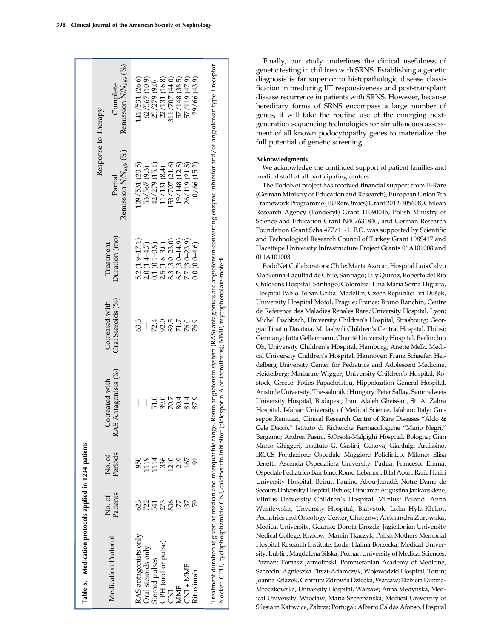|                     |                                        | . . ср.                                                                                                                                                                  |
|---------------------|----------------------------------------|--------------------------------------------------------------------------------------------------------------------------------------------------------------------------|
|                     | Complete<br>Remission $N/N_{info}$ (%) | (26.6)<br>(10.9)<br>(16.8)<br>(47.9)<br>(44.0)<br>(38.5)<br>(43.9)<br>(9.0)<br>29/66<br>141/531<br>62/567<br>25/279<br>22/131 (<br>311/707 (<br>57/148 (<br>57/119       |
| Response to Therapy | $NN_{info}$ (%)<br>tial                | (20.5)<br>$\begin{array}{c} (15.1) \\ (8.4) \\ (21.6) \end{array}$<br>(21.8)<br>(15.2)<br>(12.8)<br>(9.3)<br>$\bar{=}$<br>$\circ$<br>$\sigma$<br>$-50$<br>$\overline{ }$ |

Finally, our study underlines the clinical usefulness of genetic testing in children with SRNS. Establishing a genetic diagnosis is far superior to histopathologic disease classification in predicting IIT responsiveness and post-transplant disease recurrence in patients with SRNS. However, because hereditary forms of SRNS encompass a large number of genes, it will take the routine use of the emerging nextgeneration sequencing technologies for simultaneous assessment of all known podocytopathy genes to materialize the full potential of genetic screening.

## Acknowledgments

We acknowledge the continued support of patient families and medical staff at all participating centers.

The PodoNet project has received financial support from E-Rare (German Ministry of Education and Research), European Union 7th Framework Programme (EURenOmics) Grant 2012-305608, Chilean Research Agency (Fondecyt) Grant 11090045, Polish Ministry of Science and Education Grant N402631840, and German Research Foundation Grant Scha 477/11-1. F.O. was supported by Scientific and Technological Research Council of Turkey Grant 108S417 and Hacettepe University Infrastructure Project Grants 06A101008 and 011A101003.

PodoNet Collaborators: Chile: Marta Azocar, Hospital Luis Calvo Mackenna-Facultad de Chile, Santiago; Lily Quiroz, Roberto del Rio Childrens Hospital, Santiago; Colombia: Lina Maria Serna Higuita, Hospital Pablo Toban Uriba, Medellín; Czech Republic: Jiří Dušek, University Hospital Motol, Prague; France: Bruno Ranchin, Centre de Reference des Maladies Renales Rare/University Hospital, Lyon; Michel Fischbach, University Children's Hospital, Strasbourg; Georgia: Tinatin Davitaia, M. Iashvili Children's Central Hospital, Tbilisi; Germany: Jutta Gellermann, Charité University Hospital, Berlin; Jun Oh, University Children's Hospital, Hamburg; Anette Melk, Medical University Children's Hospital, Hannover; Franz Schaefer, Heidelberg University Center for Pediatrics and Adolescent Medicine, Heidelberg; Marianne Wigger, University Children's Hospital, Rostock; Greece: Fotios Papachristou, Hippokration General Hospital, Aristotle University, Thessaloniki; Hungary: Peter Sallay, Semmelweis University Hospital, Budapest; Iran: Alaleh Gheissari, St. Al Zahra Hospital, Isfahan University of Medical Science, Isfahan; Italy: Guiseppe Remuzzi, Clinical Research Centre of Rare Diseases "Aldo & Cele Daccò," Istituto di Richerche Farmacologiche "Mario Negri," Bergamo; Andrea Pasini, S.Orsola-Malpighi Hospital, Bologna; Gian Marco Ghiggeri, Instituto G. Gaslini, Genova; Gianluigi Ardissino, IRCCS Fondazione Ospedale Maggiore Policlinico, Milano; Elisa Benetti, Ascenda Ospedaliera University, Padua; Francesco Emma, Ospedale Pediatrico Bambino, Rome; Lebanon: Bilal Aoun, Rafic Hariri University Hospital, Beirut; Pauline Abou-Jaoudé, Notre Dame de Secours University Hospital, Byblos; Lithuania: Augustina Jankauskiene, Vilnius University Children's Hospital, Vilnius; Poland: Anna Wasilewska, Unversity Hospital, Bialystok; Lidia Hyla-Klekot, Pediatrics and Oncology Center, Chorzow; Aleksandra Zurowska, Medical University, Gdansk; Dorota Drozdz, Jagiellonian University Nedical College, Krakow; Marcin Tkaczyk, Polish Mothers Memorial Hospital Research Institute, Lodz; Halina Borzecka, Medical University, Lublin; Magdalena Silska, Poznan University of Medical Sciences, Poznan; Tomasz Jarmolinski, Pommeranian Academy of Medicine, Szczecin; Agnieszka Firszt-Adamczyk, Wojewodzki Hospital, Torun; Joanna Ksiazek, Centrum Zdrowia Dziecka,Warsaw; Elzbieta Kuzma-Mroczkowska, University Hospital, Warsaw; Anna Medynska, Medical University, Wroclaw; Maria Szczepanska, Medical University of Silesia in Katowice, Zabrze; Portugal: Alberto Caldas Afonso, Hospital

|                      |                   |                   |                                           |                                     |                                                                                               | Response to Therapy                  |                                        |
|----------------------|-------------------|-------------------|-------------------------------------------|-------------------------------------|-----------------------------------------------------------------------------------------------|--------------------------------------|----------------------------------------|
| Medication Protocol  | Patients<br>No.of | Periods<br>No. of | AS Antagonists (%)<br>Cotreated with<br>≃ | Oral Steroids (%)<br>Cotreated with | Duration (mo)<br>Treatment                                                                    | Remission $NN_{info}$ (%)<br>Partial | Remission $N/N_{info}$ (%)<br>Complete |
| RAS antagonists only | 623               | 950               |                                           | 63.3                                | $5.2(1.9-17.1)$                                                                               | (09/531(20.5))                       | 141/531 (26.6)                         |
| Oral steroids only   | 722               | 119               |                                           |                                     |                                                                                               | 53/567 (9.3)                         | 62/567(10.9)                           |
| Steroid pulses       | 541               | 114<br>336        | 51.0                                      | 72.4                                | 2.0 $(1.4-4.7)$<br>0.1 $(0.1-0.9)$<br>2.5 $(1.6-3.0)$<br>8.3 $(3.0-23.0)$<br>6.7 $(3.0-14.9)$ | 42/279 (15.1)                        | 25/279 (9.0)                           |
| CPH (oral or pulse)  | 273               |                   |                                           |                                     |                                                                                               | 11/131(8.4)                          | 22/131 (16.8)                          |
| Ę                    | 806               | 1210              |                                           | 92.5<br>89.7<br>71.7                |                                                                                               | 53/707 (21.6)                        | 311/707 (44.0)                         |
| <b>MMF</b>           |                   | 219               |                                           |                                     |                                                                                               | 19/148 (12.8)                        | 57/148 (38.5)                          |
| $CNI + MMF$          | 137               | 167               | 0.07449.<br>0.07449.<br>0.074             | 76.0<br>76.9                        | $7.7(3.0-23.9)$                                                                               | 26/119 (21.8)                        | 57/119 (47.9)                          |
| Rituximab            |                   |                   |                                           |                                     | $0.0(0.0-4.6)$                                                                                | 10/66 (15.2)                         | 29/66 (43.9)                           |

blocker. CPH, cyclophosphamide; CNI, calcineurin inhibitor (ciclosporin A or tacrolimus); MMF, mycophenolate-mofetil.

 $\tilde{\mathbf{r}}$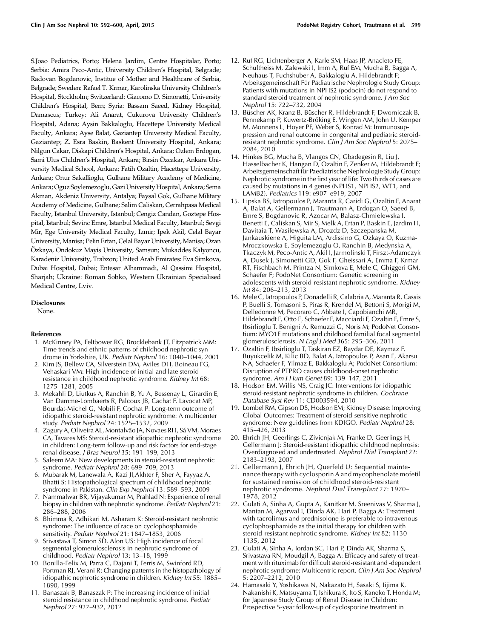S.Joao Pediatrics, Porto; Helena Jardim, Centre Hospitalar, Porto; Serbia: Amira Peco-Antic, University Children's Hospital, Belgrade; Radovan Bogdanovic, Institue of Mother and Healthcare of Serbia, Belgrade; Sweden: Rafael T. Krmar, Karolinska University Children's Hospital, Stockholm; Switzerland: Giacomo D. Simonetti, University Children's Hospital, Bern; Syria: Bassam Saeed, Kidney Hospital, Damascus; Turkey: Ali Anarat, Cukurova University Children's Hospital, Adana; Aysin Bakkaloglu, Hacettepe University Medical Faculty, Ankara; Ayse Balat, Gaziantep University Medical Faculty, Gaziantep; Z. Esra Baskin, Baskent University Hospital, Ankara; Nilgun Cakar, Diskapi Children's Hospital, Ankara; Ozlem Erdogan, Sami Ulus Children's Hospital, Ankara; Birsin Özcakar, Ankara University Medical School, Ankara; Fatih Ozaltin, Hacettepe University, Ankara; Onur Sakallioglu, Gulhane Military Academy of Medicine, Ankara; Oguz Soylemezoglu, Gazi University Hospital, Ankara; Sema Akman, Akdeniz University, Antalya; Faysal Gok, Gulhane Military Academy of Medicine, Gulhane; Salim Caliskan, Cerrahpasa Medical Faculty, Istanbul University, Istanbul; Cengiz Candan, Goztepe Hospital, Istanbul; Sevinc Emre, Istanbul Medical Faculty, Istanbul; Sevgi Mir, Ege University Medical Faculty, Izmir; Ipek Akil, Celal Bayar University, Manisa; Pelin Ertan, Celal Bayar University, Manisa; Ozan Ozkaya, Ondokuz Mayis University, Samsun; Mukaddes Kalyoncu, € Karadeniz University, Trabzon; United Arab Emirates: Eva Simkova, Dubai Hospital, Dubai; Entesar Alhammadi, Al Qassimi Hospital, Sharjah; Ukraine: Roman Sobko, Western Ukrainian Specialised Medical Centre, Lviv.

#### Disclosures

None.

#### References

- 1. McKinney PA, Feltbower RG, Brocklebank JT, Fitzpatrick MM: Time trends and ethnic patterns of childhood nephrotic syndrome in Yorkshire, UK. Pediatr Nephrol 16: 1040–1044, 2001
- 2. Kim JS, Bellew CA, Silverstein DM, Aviles DH, Boineau FG, Vehaskari VM: High incidence of initial and late steroid resistance in childhood nephrotic syndrome. Kidney Int 68: 1275–1281, 2005
- 3. Mekahli D, Liutkus A, Ranchin B, Yu A, Bessenay L, Girardin E, Van Damme-Lombaerts R, Palcoux JB, Cachat F, Lavocat MP, Bourdat-Michel G, Nobili F, Cochat P: Long-term outcome of idiopathic steroid-resistant nephrotic syndrome: A multicenter study. Pediatr Nephrol 24: 1525–1532, 2009
- 4. Zagury A, Oliveira AL, Montalvão JA, Novaes RH, Sá VM, Moraes CA, Tavares MS: Steroid-resistant idiopathic nephrotic syndrome in children: Long-term follow-up and risk factors for end-stage renal disease. J Bras Neurol 35: 191–199, 2013
- 5. Saleem MA: New developments in steroid-resistant nephrotic syndrome. Pediatr Nephrol 28: 699–709, 2013
- 6. Mubarak M, Lanewala A, Kazi JI,Akhter F, Sher A, Fayyaz A, Bhatti S: Histopathological spectrum of childhood nephrotic syndrome in Pakistan. Clin Exp Nephrol 13: 589–593, 2009
- 7. Nammalwar BR, Vijayakumar M, Prahlad N: Experience of renal biopsy in children with nephrotic syndrome. Pediatr Nephrol 21: 286–288, 2006
- 8. Bhimma R, Adhikari M, Asharam K: Steroid-resistant nephrotic syndrome: The influence of race on cyclophosphamide sensitivity. Pediatr Nephrol 21: 1847–1853, 2006
- 9. Srivastava T, Simon SD, Alon US: High incidence of focal segmental glomerulosclerosis in nephrotic syndrome of childhood. Pediatr Nephrol 13: 13–18, 1999
- 10. Bonilla-Felix M, Parra C, Dajani T, Ferris M, Swinford RD, Portman RJ, Verani R: Changing patterns in the histopathology of idiopathic nephrotic syndrome in children. Kidney Int 55: 1885– 1890, 1999
- 11. Banaszak B, Banaszak P: The increasing incidence of initial steroid resistance in childhood nephrotic syndrome. Pediatr Nephrol 27: 927–932, 2012
- 12. Ruf RG, Lichtenberger A, Karle SM, Haas JP, Anacleto FE, Schultheiss M, Zalewski I, Imm A, Ruf EM, Mucha B, Bagga A, Neuhaus T, Fuchshuber A, Bakkaloglu A, Hildebrandt F; Arbeitsgemeinschaft Für Pädiatrische Nephrologie Study Group: Patients with mutations in NPHS2 (podocin) do not respond to standard steroid treatment of nephrotic syndrome. J Am Soc Nephrol 15: 722–732, 2004
- 13. Büscher AK, Kranz B, Büscher R, Hildebrandt F, Dworniczak B, Pennekamp P, Kuwertz-Bröking E, Wingen AM, John U, Kemper M, Monnens L, Hoyer PF, Weber S, Konrad M: Immunosuppression and renal outcome in congenital and pediatric steroidresistant nephrotic syndrome. Clin J Am Soc Nephrol 5: 2075– 2084, 2010
- 14. Hinkes BG, Mucha B, Vlangos CN, Gbadegesin R, Liu J, Hasselbacher K, Hangan D, Ozaltin F, Zenker M, Hildebrandt F; Arbeitsgemeinschaft für Paediatrische Nephrologie Study Group: Nephrotic syndrome in the first year of life: Two thirds of cases are caused by mutations in 4 genes (NPHS1, NPHS2, WT1, and LAMB2). Pediatrics 119: e907–e919, 2007
- 15. Lipska BS, Iatropoulos P, Maranta R, Caridi G, Ozaltin F, Anarat A, Balat A, Gellermann J, Trautmann A, Erdogan O, Saeed B, Emre S, Bogdanovic R, Azocar M, Balasz-Chmielewska I, Benetti E, Caliskan S, Mir S, Melk A, Ertan P, Baskin E, Jardim H, Davitaia T, Wasilewska A, Drozdz D, Szczepanska M, Jankauskiene A, Higuita LM, Ardissino G, Ozkaya O, Kuzma-Mroczkowska E, Soylemezoglu O, Ranchin B, Medynska A, Tkaczyk M, Peco-Antic A, Akil I, Jarmolinski T, Firszt-Adamczyk A, Dusek J, Simonetti GD, Gok F, Gheissari A, Emma F, Krmar RT, Fischbach M, Printza N, Simkova E, Mele C, Ghiggeri GM, Schaefer F; PodoNet Consortium: Genetic screening in adolescents with steroid-resistant nephrotic syndrome. Kidney Int 84: 206–213, 2013
- 16. Mele C, Iatropoulos P, Donadelli R, Calabria A, Maranta R, Cassis P, Buelli S, Tomasoni S, Piras R, Krendel M, Bettoni S, Morigi M, Delledonne M, Pecoraro C, Abbate I, Capobianchi MR, Hildebrandt F, Otto E, Schaefer F, Macciardi F, Ozaltin F, Emre S, Ibsirlioglu T, Benigni A, Remuzzi G, Noris M; PodoNet Consortium: MYO1E mutations and childhood familial focal segmental glomerulosclerosis. N Engl J Med 365: 295–306, 2011
- 17. Ozaltin F, Ibsirlioglu T, Taskiran EZ, Baydar DE, Kaymaz F, Buyukcelik M, Kilic BD, Balat A, Iatropoulos P, Asan E, Akarsu NA, Schaefer F, Yilmaz E, Bakkaloglu A; PodoNet Consortium: Disruption of PTPRO causes childhood-onset nephrotic syndrome. Am J Hum Genet 89: 139–147, 2011
- 18. Hodson EM, Willis NS, Craig JC: Interventions for idiopathic steroid-resistant nephrotic syndrome in children. Cochrane Database Syst Rev 11: CD003594, 2010
- 19. Lombel RM, Gipson DS, Hodson EM; Kidney Disease: Improving Global Outcomes: Treatment of steroid-sensitive nephrotic syndrome: New guidelines from KDIGO. Pediatr Nephrol 28: 415–426, 2013
- 20. Ehrich JH, Geerlings C, Zivicnjak M, Franke D, Geerlings H, Gellermann J: Steroid-resistant idiopathic childhood nephrosis: Overdiagnosed and undertreated. Nephrol Dial Transplant 22: 2183–2193, 2007
- 21. Gellermann J, Ehrich JH, Querfeld U: Sequential maintenance therapy with cyclosporin A and mycophenolate mofetil for sustained remission of childhood steroid-resistant nephrotic syndrome. Nephrol Dial Transplant 27: 1970– 1978, 2012
- 22. Gulati A, Sinha A, Gupta A, Kanitkar M, Sreenivas V, Sharma J, Mantan M, Agarwal I, Dinda AK, Hari P, Bagga A: Treatment with tacrolimus and prednisolone is preferable to intravenous cyclophosphamide as the initial therapy for children with steroid-resistant nephrotic syndrome. Kidney Int 82: 1130– 1135, 2012
- 23. Gulati A, Sinha A, Jordan SC, Hari P, Dinda AK, Sharma S, Srivastava RN, Moudgil A, Bagga A: Efficacy and safety of treatment with rituximab for difficult steroid-resistant and -dependent nephrotic syndrome: Multicentric report. Clin J Am Soc Nephrol 5: 2207–2212, 2010
- 24. Hamasaki Y, Yoshikawa N, Nakazato H, Sasaki S, Iijima K, Nakanishi K, Matsuyama T, Ishikura K, Ito S, Kaneko T, Honda M; for Japanese Study Group of Renal Disease in Children: Prospective 5-year follow-up of cyclosporine treatment in